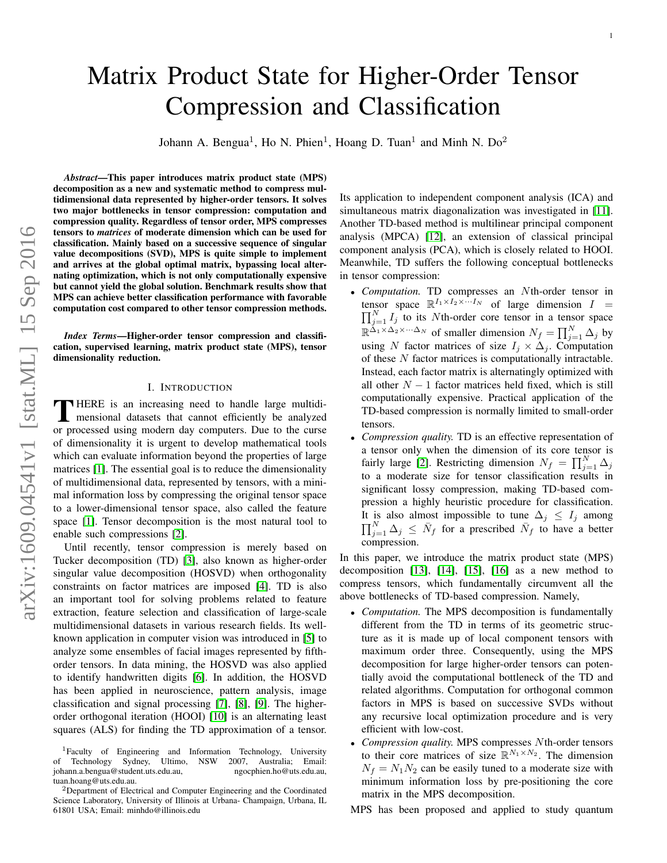# Matrix Product State for Higher-Order Tensor Compression and Classification

Johann A. Bengua<sup>1</sup>, Ho N. Phien<sup>1</sup>, Hoang D. Tuan<sup>1</sup> and Minh N. Do<sup>2</sup>

*Abstract*—This paper introduces matrix product state (MPS) decomposition as a new and systematic method to compress multidimensional data represented by higher-order tensors. It solves two major bottlenecks in tensor compression: computation and compression quality. Regardless of tensor order, MPS compresses tensors to *matrices* of moderate dimension which can be used for classification. Mainly based on a successive sequence of singular value decompositions (SVD), MPS is quite simple to implement and arrives at the global optimal matrix, bypassing local alternating optimization, which is not only computationally expensive but cannot yield the global solution. Benchmark results show that MPS can achieve better classification performance with favorable computation cost compared to other tensor compression methods.

*Index Terms*—Higher-order tensor compression and classification, supervised learning, matrix product state (MPS), tensor dimensionality reduction.

## I. INTRODUCTION

THERE is an increasing need to handle large multidi-<br>mensional datasets that cannot efficiently be analyzed HERE is an increasing need to handle large multidior processed using modern day computers. Due to the curse of dimensionality it is urgent to develop mathematical tools which can evaluate information beyond the properties of large matrices [\[1\]](#page-9-0). The essential goal is to reduce the dimensionality of multidimensional data, represented by tensors, with a minimal information loss by compressing the original tensor space to a lower-dimensional tensor space, also called the feature space [\[1\]](#page-9-0). Tensor decomposition is the most natural tool to enable such compressions [\[2\]](#page-9-1).

Until recently, tensor compression is merely based on Tucker decomposition (TD) [\[3\]](#page-9-2), also known as higher-order singular value decomposition (HOSVD) when orthogonality constraints on factor matrices are imposed [\[4\]](#page-9-3). TD is also an important tool for solving problems related to feature extraction, feature selection and classification of large-scale multidimensional datasets in various research fields. Its wellknown application in computer vision was introduced in [\[5\]](#page-9-4) to analyze some ensembles of facial images represented by fifthorder tensors. In data mining, the HOSVD was also applied to identify handwritten digits [\[6\]](#page-9-5). In addition, the HOSVD has been applied in neuroscience, pattern analysis, image classification and signal processing [\[7\]](#page-9-6), [\[8\]](#page-9-7), [\[9\]](#page-9-8). The higherorder orthogonal iteration (HOOI) [\[10\]](#page-9-9) is an alternating least squares (ALS) for finding the TD approximation of a tensor. Its application to independent component analysis (ICA) and simultaneous matrix diagonalization was investigated in [\[11\]](#page-9-10). Another TD-based method is multilinear principal component analysis (MPCA) [\[12\]](#page-9-11), an extension of classical principal component analysis (PCA), which is closely related to HOOI. Meanwhile, TD suffers the following conceptual bottlenecks in tensor compression:

- *Computation.* TD compresses an Nth-order tensor in tensor space  $\mathbb{R}^{I_1 \times I_2 \times \cdots I_N}$  of large dimension  $I =$  $\prod_{j=1}^{N} I_j$  to its Nth-order core tensor in a tensor space  $\mathbb{R}^{\tilde{\Delta}_1 \times \Delta_2 \times \cdots \Delta_N}$  of smaller dimension  $N_f = \prod_{j=1}^N \Delta_j$  by using N factor matrices of size  $I_j \times \Delta_j$ . Computation of these N factor matrices is computationally intractable. Instead, each factor matrix is alternatingly optimized with all other  $N - 1$  factor matrices held fixed, which is still computationally expensive. Practical application of the TD-based compression is normally limited to small-order tensors.
- *Compression quality.* TD is an effective representation of a tensor only when the dimension of its core tensor is fairly large [\[2\]](#page-9-1). Restricting dimension  $N_f = \prod_{j=1}^{N} \Delta_j$ to a moderate size for tensor classification results in significant lossy compression, making TD-based compression a highly heuristic procedure for classification. It is also almost impossible to tune  $\Delta_j \leq I_j$  among  $\prod_{j=1}^{N} \Delta_j \leq \bar{N}_f$  for a prescribed  $\bar{N}_f$  to have a better compression.

In this paper, we introduce the matrix product state (MPS) decomposition  $[13]$ ,  $[14]$ ,  $[15]$ ,  $[16]$  as a new method to compress tensors, which fundamentally circumvent all the above bottlenecks of TD-based compression. Namely,

- *Computation.* The MPS decomposition is fundamentally different from the TD in terms of its geometric structure as it is made up of local component tensors with maximum order three. Consequently, using the MPS decomposition for large higher-order tensors can potentially avoid the computational bottleneck of the TD and related algorithms. Computation for orthogonal common factors in MPS is based on successive SVDs without any recursive local optimization procedure and is very efficient with low-cost.
- *Compression quality.* MPS compresses Nth-order tensors to their core matrices of size  $\mathbb{R}^{N_1 \times N_2}$ . The dimension  $N_f = N_1 N_2$  can be easily tuned to a moderate size with minimum information loss by pre-positioning the core matrix in the MPS decomposition.

MPS has been proposed and applied to study quantum

<sup>&</sup>lt;sup>1</sup>Faculty of Engineering and Information Technology, University of Technology Sydney, Ultimo, NSW 2007, Australia; Email:<br>johann.a.bengua@student.uts.edu.au, ngocphien.ho@uts.edu.au, johann.a.bengua@student.uts.edu.au, tuan.hoang@uts.edu.au.

<sup>2</sup>Department of Electrical and Computer Engineering and the Coordinated Science Laboratory, University of Illinois at Urbana- Champaign, Urbana, IL 61801 USA; Email: minhdo@illinois.edu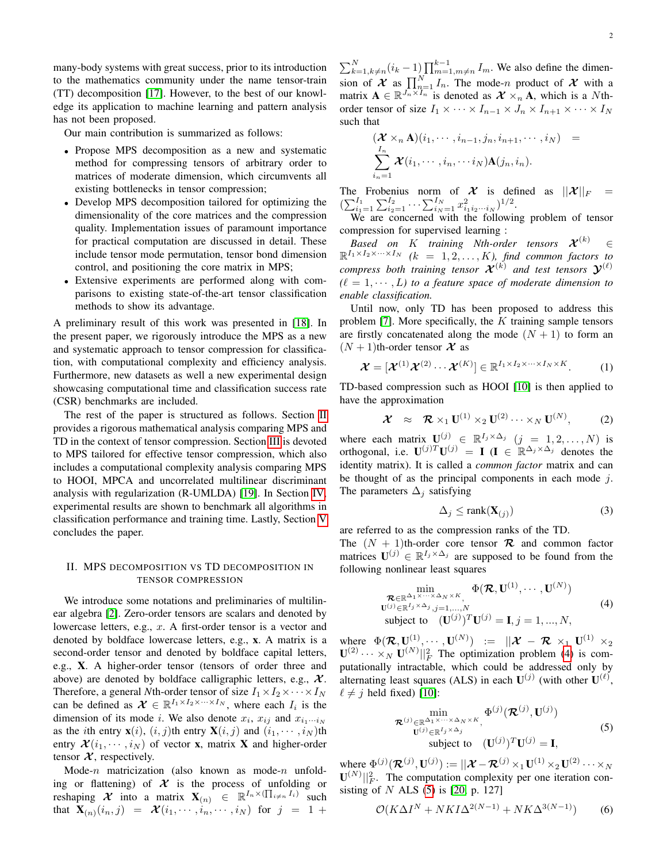many-body systems with great success, prior to its introduction to the mathematics community under the name tensor-train (TT) decomposition [\[17\]](#page-10-3). However, to the best of our knowledge its application to machine learning and pattern analysis has not been proposed.

Our main contribution is summarized as follows:

- Propose MPS decomposition as a new and systematic method for compressing tensors of arbitrary order to matrices of moderate dimension, which circumvents all existing bottlenecks in tensor compression;
- Develop MPS decomposition tailored for optimizing the dimensionality of the core matrices and the compression quality. Implementation issues of paramount importance for practical computation are discussed in detail. These include tensor mode permutation, tensor bond dimension control, and positioning the core matrix in MPS;
- Extensive experiments are performed along with comparisons to existing state-of-the-art tensor classification methods to show its advantage.

A preliminary result of this work was presented in [\[18\]](#page-10-4). In the present paper, we rigorously introduce the MPS as a new and systematic approach to tensor compression for classification, with computational complexity and efficiency analysis. Furthermore, new datasets as well a new experimental design showcasing computational time and classification success rate (CSR) benchmarks are included.

The rest of the paper is structured as follows. Section [II](#page-1-0) provides a rigorous mathematical analysis comparing MPS and TD in the context of tensor compression. Section [III](#page-2-0) is devoted to MPS tailored for effective tensor compression, which also includes a computational complexity analysis comparing MPS to HOOI, MPCA and uncorrelated multilinear discriminant analysis with regularization (R-UMLDA) [\[19\]](#page-10-5). In Section [IV,](#page-5-0) experimental results are shown to benchmark all algorithms in classification performance and training time. Lastly, Section [V](#page-9-13) concludes the paper.

## <span id="page-1-0"></span>II. MPS DECOMPOSITION VS TD DECOMPOSITION IN TENSOR COMPRESSION

We introduce some notations and preliminaries of multilinear algebra [\[2\]](#page-9-1). Zero-order tensors are scalars and denoted by lowercase letters, e.g., x. A first-order tensor is a vector and denoted by boldface lowercase letters, e.g., x. A matrix is a second-order tensor and denoted by boldface capital letters, e.g., X. A higher-order tensor (tensors of order three and above) are denoted by boldface calligraphic letters, e.g.,  $\mathcal{X}$ . Therefore, a general *N*th-order tensor of size  $I_1 \times I_2 \times \cdots \times I_N$ can be defined as  $\mathcal{X} \in \mathbb{R}^{I_1 \times I_2 \times \cdots \times I_N}$ , where each  $I_i$  is the dimension of its mode *i*. We also denote  $x_i$ ,  $x_{ij}$  and  $x_{i_1\cdots i_N}$ as the *i*th entry  $\mathbf{x}(i)$ ,  $(i, j)$ th entry  $\mathbf{X}(i, j)$  and  $(i_1, \dots, i_N)$ th entry  $\mathcal{X}(i_1, \dots, i_N)$  of vector **x**, matrix **X** and higher-order tensor  $\mathcal{X}$ , respectively.

Mode- $n$  matricization (also known as mode- $n$  unfolding or flattening) of  $X$  is the process of unfolding or reshaping  $\mathcal X$  into a matrix  $\mathbf X_{(n)}$   $\in \mathbb R^{I_n \times (\prod_{i \neq n} I_i)}$  such that  $\mathbf{X}_{(n)}(i_n, j) = \mathbf{\mathcal{X}}(i_1, \cdots, i_n, \cdots, i_N)$  for  $j = 1 +$ 

 $\sum_{k=1, k \neq n}^{N} (i_k - 1) \prod_{m=1, m \neq n}^{k-1} I_m$ . We also define the dimension of  $\mathcal X$  as  $\prod_{n=1}^N I_n$ . The mode-n product of  $\mathcal X$  with a matrix  $\mathbf{A} \in \mathbb{R}^{\overline{J_n} \times \overline{I_n}}$  is denoted as  $\mathcal{X} \times_n \mathbf{A}$ , which is a Nthorder tensor of size  $I_1 \times \cdots \times I_{n-1} \times J_n \times I_{n+1} \times \cdots \times I_N$ such that

$$
(\mathcal{X} \times_n \mathbf{A})(i_1, \cdots, i_{n-1}, j_n, i_{n+1}, \cdots, i_N) =
$$
  

$$
\sum_{i_n=1}^{I_n} \mathcal{X}(i_1, \cdots, i_n, \cdots i_N) \mathbf{A}(j_n, i_n).
$$

The Frobenius norm of X is defined as  $||\mathcal{X}||_F$  =  $(\sum_{i_1=1}^{I_1} \sum_{i_2=1}^{I_2} \cdots \sum_{i_N=1}^{I_N} x_{i_1 i_2 \cdots i_N}^2)^{1/2}.$ 

We are concerned with the following problem of tensor compression for supervised learning :

 $\mathit{Based}$  on  $K$  training Nth-order tensors  $\mathcal{X}^{(k)}$   $\in$  $\mathbb{R}^{I_1 \times I_2 \times \cdots \times I_N}$  (k = 1, 2, ..., K), find common factors to compress both training tensor  $\mathcal{X}^{(k)}$  and test tensors  $\mathcal{Y}^{(\ell)}$  $(\ell = 1, \dots, L)$  to a feature space of moderate dimension to *enable classification.*

Until now, only TD has been proposed to address this problem [\[7\]](#page-9-6). More specifically, the  $K$  training sample tensors are firstly concatenated along the mode  $(N + 1)$  to form an  $(N + 1)$ th-order tensor  $\mathcal X$  as

$$
\boldsymbol{\mathcal{X}} = [\boldsymbol{\mathcal{X}}^{(1)} \boldsymbol{\mathcal{X}}^{(2)} \cdots \boldsymbol{\mathcal{X}}^{(K)}] \in \mathbb{R}^{I_1 \times I_2 \times \cdots \times I_N \times K}.
$$
 (1)

TD-based compression such as HOOI [\[10\]](#page-9-9) is then applied to have the approximation

<span id="page-1-3"></span>
$$
\mathcal{X} \approx \mathcal{R} \times_1 \mathbf{U}^{(1)} \times_2 \mathbf{U}^{(2)} \cdots \times_N \mathbf{U}^{(N)}, \tag{2}
$$

where each matrix  $\mathbf{U}^{(j)} \in \mathbb{R}^{I_j \times \Delta_j}$   $(j = 1, 2, ..., N)$  is orthogonal, i.e.  $\mathbf{U}^{(j)T}\mathbf{U}^{(j)} = \mathbf{I}$  ( $\mathbf{I} \in \mathbb{R}^{\Delta_j \times \Delta_j}$  denotes the identity matrix). It is called a *common factor* matrix and can be thought of as the principal components in each mode  $j$ . The parameters  $\Delta_j$  satisfying

<span id="page-1-4"></span>
$$
\Delta_j \le \text{rank}(\mathbf{X}_{(j)})\tag{3}
$$

are referred to as the compression ranks of the TD. The  $(N + 1)$ th-order core tensor **R** and common factor matrices  $\mathbf{U}^{(j)} \in \mathbb{R}^{I_j \times \Delta_j}$  are supposed to be found from the following nonlinear least squares

<span id="page-1-1"></span>
$$
\min_{\substack{\mathcal{R}\in\mathbb{R}^{\Delta_1\times\cdots\times\Delta_N\times K},\\ \mathbf{U}^{(j)}\in\mathbb{R}^{I_j\times\Delta_j}, j=1,\ldots,N\\ \text{subject to} \quad (\mathbf{U}^{(j)})^T\mathbf{U}^{(j)} = \mathbf{I}, j=1,\ldots,N,}} \qquad (4)
$$

where  $\Phi(\mathcal{R},\mathbf{U}^{(1)},\cdots,\mathbf{U}^{(N)})$  :=  $||\mathcal{X}-\mathcal{R} \times_1 \mathbf{U}^{(1)} \times_2$  $\mathbf{U}^{(2)} \cdots \times_N \mathbf{U}^{(N)} \vert_{F}^{2}$  The optimization problem [\(4\)](#page-1-1) is computationally intractable, which could be addressed only by alternating least squares (ALS) in each  $U^{(j)}$  (with other  $U^{(\ell)}$ ,  $\ell \neq i$  held fixed) [\[10\]](#page-9-9):

<span id="page-1-2"></span>
$$
\begin{array}{ll}\n\min_{\mathbf{U}^{(j)} \in \mathbb{R}^{\Delta_1 \times \dots \times \Delta_N \times K}, \atop \mathbf{U}^{(j)} \in \mathbb{R}^{I_j \times \Delta_j}} \Phi^{(j)}(\mathcal{R}^{(j)}, \mathbf{U}^{(j)}) \\
\text{subject to} \quad (\mathbf{U}^{(j)})^T \mathbf{U}^{(j)} = \mathbf{I},\n\end{array} \tag{5}
$$

where  $\Phi^{(j)}({\mathcal R}^{(j)},\mathbf{U}^{(j)}):=||{\mathcal X}-{\mathcal R}^{(j)}\times_1 \mathbf{U}^{(1)}\times_2 \mathbf{U}^{(2)}\cdots\times_N$  $\mathbf{U}^{(N)}||_F^2$ . The computation complexity per one iteration consisting of  $N$  ALS [\(5\)](#page-1-2) is [\[20,](#page-10-6) p. 127]

$$
\mathcal{O}(K\Delta I^N + NKI\Delta^{2(N-1)} + NK\Delta^{3(N-1)})\tag{6}
$$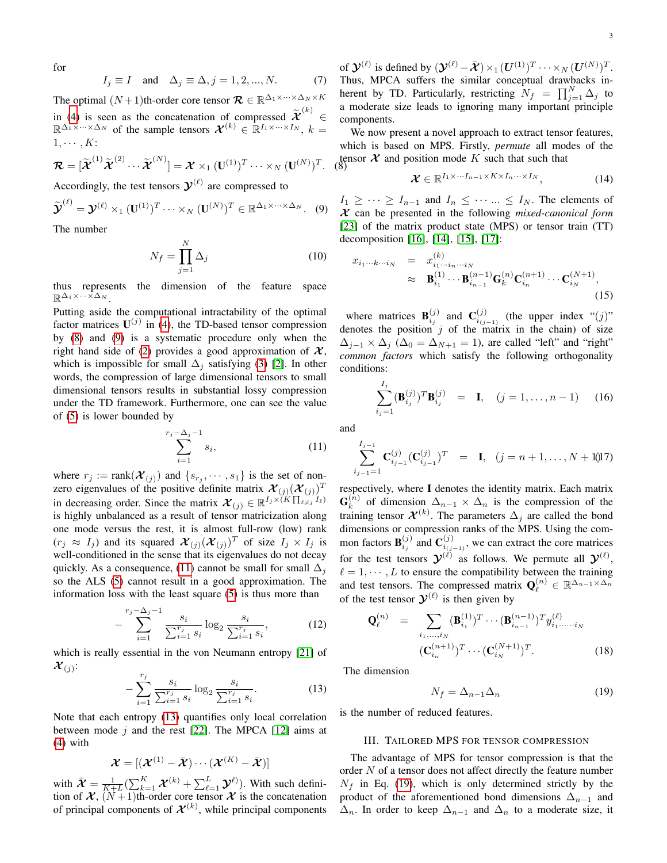for

$$
I_j \equiv I \quad \text{and} \quad \Delta_j \equiv \Delta, j = 1, 2, ..., N. \tag{7}
$$

The optimal  $(N+1)$ th-order core tensor  $\mathcal{R} \in \mathbb{R}^{\Delta_1 \times \cdots \times \Delta_N \times K}$ in [\(4\)](#page-1-1) is seen as the concatenation of compressed  $\widetilde{\mathcal{X}}^{(k)}$ ∈  $\mathbb{R}^{\Delta_1 \times \cdots \times \Delta_N}$  of the sample tensors  $\mathcal{X}^{(k)} \in \mathbb{R}^{I_1 \times \cdots \times I_N}$ ,  $k =$  $1, \cdots, K$ :

$$
\boldsymbol{\mathcal{R}} = [\widetilde{\boldsymbol{\mathcal{X}}}^{(1)} \widetilde{\boldsymbol{\mathcal{X}}}^{(2)} \cdots \widetilde{\boldsymbol{\mathcal{X}}}^{(N)}] = \boldsymbol{\mathcal{X}} \times_1 (\mathbf{U}^{(1)})^T \cdots \times_N (\mathbf{U}^{(N)})^T.
$$

<span id="page-2-1"></span>Accordingly, the test tensors  $y^{(\ell)}$  are compressed to

<span id="page-2-2"></span>
$$
\widetilde{\boldsymbol{\mathcal{Y}}}^{(\ell)} = \boldsymbol{\mathcal{Y}}^{(\ell)} \times_1 (\mathbf{U}^{(1)})^T \cdots \times_N (\mathbf{U}^{(N)})^T \in \mathbb{R}^{\Delta_1 \times \cdots \times \Delta_N}.
$$
 (9)

The number

<span id="page-2-11"></span>
$$
N_f = \prod_{j=1}^{N} \Delta_j
$$
 (10)

thus represents the dimension of the feature space  $\mathbb{R}^{\Delta_1 \times \cdots \times \Delta_N}$ .

Putting aside the computational intractability of the optimal factor matrices  $U^{(j)}$  in [\(4\)](#page-1-1), the TD-based tensor compression by [\(8\)](#page-2-1) and [\(9\)](#page-2-2) is a systematic procedure only when the right hand side of [\(2\)](#page-1-3) provides a good approximation of  $\mathcal{X}$ , which is impossible for small  $\Delta_i$  satisfying [\(3\)](#page-1-4) [\[2\]](#page-9-1). In other words, the compression of large dimensional tensors to small dimensional tensors results in substantial lossy compression under the TD framework. Furthermore, one can see the value of [\(5\)](#page-1-2) is lower bounded by

<span id="page-2-3"></span> $r_j$ 

$$
\sum_{i=1}^{-\Delta_j - 1} s_i, \tag{11}
$$

where  $r_j := \text{rank}(\mathcal{X}_{(j)})$  and  $\{s_{r_j}, \dots, s_1\}$  is the set of nonzero eigenvalues of the positive definite matrix  $\mathcal{X}_{(j)}(\mathcal{X}_{(j)})^T$ in decreasing order. Since the matrix  $\mathcal{X}_{(j)} \in \mathbb{R}^{I_j \times (K\prod_{\ell \neq j} I_\ell)}$ is highly unbalanced as a result of tensor matricization along one mode versus the rest, it is almost full-row (low) rank  $(r_j \approx I_j)$  and its squared  $\mathcal{X}_{(j)}(\mathcal{X}_{(j)})^T$  of size  $I_j \times I_j$  is well-conditioned in the sense that its eigenvalues do not decay quickly. As a consequence, [\(11\)](#page-2-3) cannot be small for small  $\Delta_i$ so the ALS [\(5\)](#page-1-2) cannot result in a good approximation. The information loss with the least square [\(5\)](#page-1-2) is thus more than

<span id="page-2-9"></span>
$$
- \sum_{i=1}^{r_j - \Delta_j - 1} \frac{s_i}{\sum_{i=1}^{r_j} s_i} \log_2 \frac{s_i}{\sum_{i=1}^{r_j} s_i},
$$
(12)

which is really essential in the von Neumann entropy [\[21\]](#page-10-7) of  ${\cal X}_{(j)}$ :

<span id="page-2-4"></span>
$$
-\sum_{i=1}^{r_j} \frac{s_i}{\sum_{i=1}^{r_j} s_i} \log_2 \frac{s_i}{\sum_{i=1}^{r_j} s_i}.
$$
 (13)

Note that each entropy [\(13\)](#page-2-4) quantifies only local correlation between mode  $j$  and the rest [\[22\]](#page-10-8). The MPCA [\[12\]](#page-9-11) aims at [\(4\)](#page-1-1) with

$$
\boldsymbol{\mathcal{X}} = [(\boldsymbol{\mathcal{X}}^{(1)} - \bar{\boldsymbol{\mathcal{X}}}) \cdots (\boldsymbol{\mathcal{X}}^{(K)} - \bar{\boldsymbol{\mathcal{X}}})]
$$

with  $\bar{\mathcal{X}} = \frac{1}{K+L} (\sum_{k=1}^K \mathcal{X}^{(k)} + \sum_{\ell=1}^L \mathcal{Y}^{\ell})$ . With such definition of  $\mathcal{X}$ ,  $(N+1)$ th-order core tensor  $\mathcal X$  is the concatenation of principal components of  $\mathcal{X}^{(k)}$ , while principal components

of  $\mathcal{Y}^{(\ell)}$  is defined by  $(\mathcal{Y}^{(\ell)} - \bar{\mathcal{X}}) \times_1 (U^{(1)})^T \cdots \times_N (U^{(N)})^T$ . Thus, MPCA suffers the similar conceptual drawbacks inherent by TD. Particularly, restricting  $N_f = \prod_{j=1}^N \Delta_j$  to a moderate size leads to ignoring many important principle components.

tensor  $X$  and position mode K such that such that  $(8)$ We now present a novel approach to extract tensor features, which is based on MPS. Firstly, *permute* all modes of the

<span id="page-2-10"></span>
$$
\mathbf{\mathcal{X}} \in \mathbb{R}^{I_1 \times \cdots I_{n-1} \times K \times I_n \cdots \times I_N},\tag{14}
$$

 $I_1 \geq \cdots \geq I_{n-1}$  and  $I_n \leq \cdots \leq I_N$ . The elements of X can be presented in the following *mixed-canonical form* [\[23\]](#page-10-9) of the matrix product state (MPS) or tensor train (TT) decomposition [\[16\]](#page-10-2), [\[14\]](#page-10-0), [\[15\]](#page-10-1), [\[17\]](#page-10-3):

<span id="page-2-6"></span>
$$
x_{i_1...k...i_N} = x_{i_1...i_n...i_N}^{(k)} \n\approx \mathbf{B}_{i_1}^{(1)} \cdots \mathbf{B}_{i_{n-1}}^{(n-1)} \mathbf{G}_k^{(n)} \mathbf{C}_{i_n}^{(n+1)} \cdots \mathbf{C}_{i_N}^{(N+1)},
$$
\n(15)

where matrices  $\mathbf{B}_{i_j}^{(j)}$  and  $\mathbf{C}_{i_{(j-1)}}^{(j)}$  (the upper index " $(j)$ " denotes the position  $j$  of the matrix in the chain) of size  $\Delta_{j-1} \times \Delta_j$  ( $\Delta_0 = \Delta_{N+1} = 1$ ), are called "left" and "right" *common factors* which satisfy the following orthogonality conditions:

<span id="page-2-7"></span>
$$
\sum_{i_j=1}^{I_j} (\mathbf{B}_{i_j}^{(j)})^T \mathbf{B}_{i_j}^{(j)} = \mathbf{I}, \quad (j = 1, \dots, n-1) \quad (16)
$$

and

<span id="page-2-8"></span>
$$
\sum_{i_{j-1}=1}^{I_{j-1}} \mathbf{C}_{i_{j-1}}^{(j)} (\mathbf{C}_{i_{j-1}}^{(j)})^T = \mathbf{I}, \quad (j = n+1, \dots, N+1) \tag{17}
$$

respectively, where I denotes the identity matrix. Each matrix  $\mathbf{G}_k^{(\bar{n})}$  $\lambda_k^{(n)}$  of dimension  $\Delta_{n-1} \times \Delta_n$  is the compression of the training tensor  $\mathcal{X}^{(k)}$ . The parameters  $\Delta_j$  are called the bond dimensions or compression ranks of the MPS. Using the common factors  $\mathbf{B}_{i_j}^{(j)}$  and  $\mathbf{C}_{i_{(j-1)}}^{(j)}$ , we can extract the core matrices for the test tensors  $\mathcal{Y}^{(\ell)}$  as follows. We permute all  $\mathcal{Y}^{(\ell)}$ ,  $\ell = 1, \cdots, L$  to ensure the compatibility between the training and test tensors. The compressed matrix  $\mathbf{Q}_{\ell}^{(n)} \in \mathbb{R}^{\Delta_{n-1} \times \Delta_n}$ of the test tensor  $y^{(\ell)}$  is then given by

$$
\mathbf{Q}_{\ell}^{(n)} = \sum_{i_1, ..., i_N} (\mathbf{B}_{i_1}^{(1)})^T \cdots (\mathbf{B}_{i_{n-1}}^{(n-1)})^T y_{i_1 \cdots \cdots i_N}^{(\ell)}
$$

$$
(\mathbf{C}_{i_n}^{(n+1)})^T \cdots (\mathbf{C}_{i_N}^{(N+1)})^T.
$$
(18)

The dimension

<span id="page-2-5"></span>
$$
N_f = \Delta_{n-1} \Delta_n \tag{19}
$$

<span id="page-2-0"></span>is the number of reduced features.

#### III. TAILORED MPS FOR TENSOR COMPRESSION

The advantage of MPS for tensor compression is that the order  $N$  of a tensor does not affect directly the feature number  $N_f$  in Eq. [\(19\)](#page-2-5), which is only determined strictly by the product of the aforementioned bond dimensions  $\Delta_{n-1}$  and  $\Delta_n$ . In order to keep  $\Delta_{n-1}$  and  $\Delta_n$  to a moderate size, it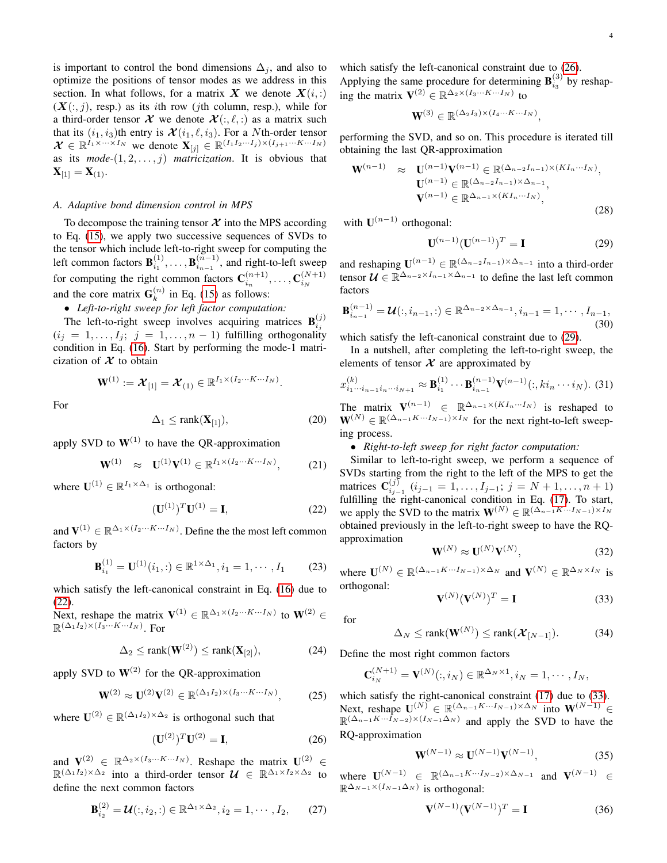is important to control the bond dimensions  $\Delta_j$ , and also to optimize the positions of tensor modes as we address in this section. In what follows, for a matrix X we denote  $X(i, :)$  $(X(:, j))$ , resp.) as its *i*th row (*j*th column, resp.), while for a third-order tensor  $\mathcal X$  we denote  $\mathcal X(:, \ell,: )$  as a matrix such that its  $(i_1, i_3)$ th entry is  $\mathcal{X}(i_1, \ell, i_3)$ . For a Nth-order tensor  $\mathcal{X} \in \mathbb{R}^{I_1 \times \cdots \times I_N}$  we denote  $\mathbf{X}_{[j]} \in \mathbb{R}^{(I_1 I_2 \cdots I_j) \times (I_{j+1} \cdots K \cdots I_N)}$ as its  $mode$ - $(1, 2, \ldots, j)$  *matricization*. It is obvious that  $X_{[1]} = X_{(1)}$ .

## *A. Adaptive bond dimension control in MPS*

To decompose the training tensor  $X$  into the MPS according to Eq. [\(15\)](#page-2-6), we apply two successive sequences of SVDs to the tensor which include left-to-right sweep for computing the left common factors  $\mathbf{B}_{i_1}^{(1)}, \ldots, \mathbf{B}_{i_{n-1}}^{(\tilde{n}-1)}$  $\binom{n-1}{i_{n-1}}$ , and right-to-left sweep for computing the right common factors  $\mathbf{C}_{i_n}^{(n+1)}, \ldots, \mathbf{C}_{i_N}^{(N+1)}$ and the core matrix  $\mathbf{G}_k^{(n)}$  $\binom{n}{k}$  in Eq. [\(15\)](#page-2-6) as follows:

• *Left-to-right sweep for left factor computation:*

The left-to-right sweep involves acquiring matrices  $\mathbf{B}_{i_j}^{(j)}$  $(i_j = 1, \ldots, I_j; j = 1, \ldots, n - 1)$  fulfilling orthogonality condition in Eq. [\(16\)](#page-2-7). Start by performing the mode-1 matricization of  $X$  to obtain

$$
\mathbf{W}^{(1)} := \boldsymbol{\mathcal{X}}_{[1]} = \boldsymbol{\mathcal{X}}_{(1)} \in \mathbb{R}^{I_1 \times (I_2 \cdots K \cdots I_N)}.
$$

For

$$
\Delta_1 \le \text{rank}(\mathbf{X}_{[1]}),\tag{20}
$$

apply SVD to  $W^{(1)}$  to have the OR-approximation

$$
\mathbf{W}^{(1)} \approx \mathbf{U}^{(1)} \mathbf{V}^{(1)} \in \mathbb{R}^{I_1 \times (I_2 \cdots K \cdots I_N)}, \quad (21)
$$

where  $\mathbf{U}^{(1)} \in \mathbb{R}^{I_1 \times \Delta_1}$  is orthogonal:

<span id="page-3-0"></span>
$$
(\mathbf{U}^{(1)})^T \mathbf{U}^{(1)} = \mathbf{I},\tag{22}
$$

and  $\mathbf{V}^{(1)} \in \mathbb{R}^{\Delta_1 \times (I_2 \cdots K \cdots I_N)}$ . Define the the most left common factors by

$$
\mathbf{B}_{i_1}^{(1)} = \mathbf{U}^{(1)}(i_1, :) \in \mathbb{R}^{1 \times \Delta_1}, i_1 = 1, \cdots, I_1 \tag{23}
$$

which satisfy the left-canonical constraint in Eq. [\(16\)](#page-2-7) due to [\(22\)](#page-3-0).

Next, reshape the matrix  $V^{(1)} \in \mathbb{R}^{\Delta_1 \times (I_2 \cdots K \cdots I_N)}$  to  $W^{(2)} \in$  $\mathbb{R}^{(\Delta_1 I_2) \times (I_3 \cdots K \cdots I_N)}$ . For

$$
\Delta_2 \le \text{rank}(\mathbf{W}^{(2)}) \le \text{rank}(\mathbf{X}_{[2]}),\tag{24}
$$

apply SVD to  $W^{(2)}$  for the OR-approximation

$$
\mathbf{W}^{(2)} \approx \mathbf{U}^{(2)} \mathbf{V}^{(2)} \in \mathbb{R}^{(\Delta_1 I_2) \times (I_3 \cdots K \cdots I_N)},\tag{25}
$$

where  $\mathbf{U}^{(2)} \in \mathbb{R}^{(\Delta_1 I_2) \times \Delta_2}$  is orthogonal such that

<span id="page-3-1"></span>
$$
(\mathbf{U}^{(2)})^T \mathbf{U}^{(2)} = \mathbf{I},\tag{26}
$$

and  $\mathbf{V}^{(2)} \in \mathbb{R}^{\Delta_2 \times (I_3 \cdots K \cdots I_N)}$ . Reshape the matrix  $\mathbf{U}^{(2)} \in$  $\mathbb{R}^{(\Delta_1 I_2) \times \Delta_2}$  into a third-order tensor  $\mathcal{U} \in \mathbb{R}^{\Delta_1 \times I_2 \times \Delta_2}$  to define the next common factors

$$
\mathbf{B}_{i_2}^{(2)} = \mathbf{\mathcal{U}}(:, i_2, :) \in \mathbb{R}^{\Delta_1 \times \Delta_2}, i_2 = 1, \cdots, I_2,
$$
 (27)

which satisfy the left-canonical constraint due to [\(26\)](#page-3-1). Applying the same procedure for determining  $\mathbf{B}_{i_3}^{(3)}$  by reshaping the matrix  $\mathbf{V}^{(2)} \in \mathbb{R}^{\Delta_2 \times (I_3 \cdots K \cdots I_N)}$  to

$$
\mathbf{W}^{(3)} \in \mathbb{R}^{(\Delta_2 I_3) \times (I_4 \cdots K \cdots I_N)},
$$

performing the SVD, and so on. This procedure is iterated till obtaining the last QR-approximation

$$
\mathbf{W}^{(n-1)} \approx \mathbf{U}^{(n-1)} \mathbf{V}^{(n-1)} \in \mathbb{R}^{(\Delta_{n-2}I_{n-1}) \times (KI_n \cdots I_N)},
$$

$$
\mathbf{U}^{(n-1)} \in \mathbb{R}^{(\Delta_{n-2}I_{n-1}) \times \Delta_{n-1}},
$$

$$
\mathbf{V}^{(n-1)} \in \mathbb{R}^{\Delta_{n-1} \times (KI_n \cdots I_N)},
$$
(28)

with  $\mathbf{U}^{(n-1)}$  orthogonal:

<span id="page-3-2"></span>
$$
\mathbf{U}^{(n-1)}(\mathbf{U}^{(n-1)})^T = \mathbf{I} \tag{29}
$$

and reshaping  $\mathbf{U}^{(n-1)} \in \mathbb{R}^{(\Delta_{n-2}I_{n-1}) \times \Delta_{n-1}}$  into a third-order tensor  $\mathcal{U} \in \mathbb{R}^{\Delta_{n-2} \times I_{n-1} \times \Delta_{n-1}}$  to define the last left common factors

$$
\mathbf{B}_{i_{n-1}}^{(n-1)} = \mathcal{U}(:, i_{n-1}, :) \in \mathbb{R}^{\Delta_{n-2} \times \Delta_{n-1}}, i_{n-1} = 1, \cdots, I_{n-1},
$$
\n(30)

which satisfy the left-canonical constraint due to [\(29\)](#page-3-2).

In a nutshell, after completing the left-to-right sweep, the elements of tensor  $X$  are approximated by

$$
x_{i_1\cdots i_{n-1}i_n\cdots i_{N+1}}^{(k)} \approx \mathbf{B}_{i_1}^{(1)} \cdots \mathbf{B}_{i_{n-1}}^{(n-1)} \mathbf{V}^{(n-1)}(:,ki_n\cdots i_N).
$$
 (31)

The matrix  $\mathbf{V}^{(n-1)} \in \mathbb{R}^{\Delta_{n-1} \times (KI_n \cdots I_N)}$  is reshaped to  $\mathbf{W}^{(N)} \in \mathbb{R}^{(\Delta_{n-1} K \cdots I_{N-1}) \times I_N}$  for the next right-to-left sweeping process.

#### • *Right-to-left sweep for right factor computation:*

Similar to left-to-right sweep, we perform a sequence of SVDs starting from the right to the left of the MPS to get the matrices  $C_{i_{j-1}}^{(j)}$   $(i_{j-1} = 1, ..., I_{j-1}; j = N+1, ..., n+1)$ fulfilling the right-canonical condition in Eq. [\(17\)](#page-2-8). To start, we apply the SVD to the matrix  $\mathbf{W}^{(N)} \in \mathbb{R}^{(\Delta_{n-1}K\cdots I_{N-1}) \times I_N}$ obtained previously in the left-to-right sweep to have the RQapproximation

$$
\mathbf{W}^{(N)} \approx \mathbf{U}^{(N)} \mathbf{V}^{(N)},\tag{32}
$$

where  $\mathbf{U}^{(N)} \in \mathbb{R}^{(\Delta_{n-1} K \cdots I_{N-1}) \times \Delta_N}$  and  $\mathbf{V}^{(N)} \in \mathbb{R}^{\Delta_N \times I_N}$  is orthogonal:

<span id="page-3-3"></span>
$$
\mathbf{V}^{(N)}(\mathbf{V}^{(N)})^T = \mathbf{I}
$$
 (33)

for

$$
\Delta_N \le \text{rank}(\mathbf{W}^{(N)}) \le \text{rank}(\mathcal{X}_{[N-1]}). \tag{34}
$$

Define the most right common factors

$$
\mathbf{C}_{i_N}^{(N+1)} = \mathbf{V}^{(N)}(:,i_N) \in \mathbb{R}^{\Delta_N \times 1}, i_N = 1, \cdots, I_N,
$$

which satisfy the right-canonical constraint [\(17\)](#page-2-8) due to [\(33\)](#page-3-3). Next, reshape  $\mathbf{U}^{(N)} \in \mathbb{R}^{(\Delta_{n-1}K\cdots I_{N-1})\times \Delta_N}$  into  $\mathbf{W}^{(N-1)}$   $\in$  $\mathbb{R}^{(\Delta_{n-1} K \cdots I_{N-2}) \times (I_{N-1} \Delta_N)}$  and apply the SVD to have the RQ-approximation

$$
\mathbf{W}^{(N-1)} \approx \mathbf{U}^{(N-1)} \mathbf{V}^{(N-1)},\tag{35}
$$

where  $\mathbf{U}^{(N-1)} \in \mathbb{R}^{(\Delta_{n-1}K\cdots I_{N-2})\times \Delta_{N-1}}$  and  $\mathbf{V}^{(N-1)} \in$  $\mathbb{R}^{\Delta_{N-1} \times (I_{N-1} \Delta_N)}$  is orthogonal:

<span id="page-3-4"></span>
$$
\mathbf{V}^{(N-1)}(\mathbf{V}^{(N-1)})^T = \mathbf{I}
$$
 (36)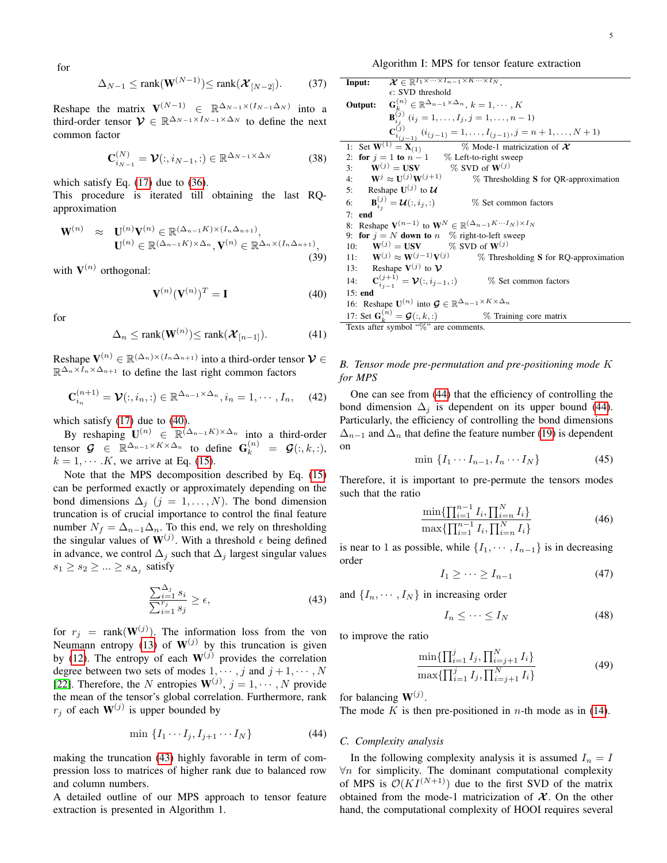Algorithm I: MPS for tensor feature extraction

$$
\Delta_{N-1} \le \text{rank}(\mathbf{W}^{(N-1)}) \le \text{rank}(\boldsymbol{\mathcal{X}}_{[N-2]}). \tag{37}
$$

Reshape the matrix  $V^{(N-1)} \in \mathbb{R}^{\Delta_{N-1} \times (I_{N-1} \Delta_N)}$  into a third-order tensor  $\mathcal{V} \in \mathbb{R}^{\Delta_{N-1} \times I_{N-1} \times \Delta_N}$  to define the next common factor

$$
\mathbf{C}_{i_{N-1}}^{(N)} = \mathbf{\mathcal{V}}(:,i_{N-1},:)
$$
  $\in \mathbb{R}^{\Delta_{N-1} \times \Delta_N}$  (38)

which satisfy Eq.  $(17)$  due to  $(36)$ .

This procedure is iterated till obtaining the last RQapproximation

$$
\mathbf{W}^{(n)} \approx \mathbf{U}^{(n)} \mathbf{V}^{(n)} \in \mathbb{R}^{(\Delta_{n-1} K) \times (I_n \Delta_{n+1})},
$$

$$
\mathbf{U}^{(n)} \in \mathbb{R}^{(\Delta_{n-1} K) \times \Delta_n}, \mathbf{V}^{(n)} \in \mathbb{R}^{\Delta_n \times (I_n \Delta_{n+1})},
$$
(39)

with  $V^{(n)}$  orthogonal:

<span id="page-4-0"></span>
$$
\mathbf{V}^{(n)}(\mathbf{V}^{(n)})^T = \mathbf{I} \tag{40}
$$

for

$$
\Delta_n \le \text{rank}(\mathbf{W}^{(n)}) \le \text{rank}(\mathcal{X}_{[n-1]}). \tag{41}
$$

Reshape  $\mathbf{V}^{(n)} \in \mathbb{R}^{(\Delta_n)\times (I_n \Delta_{n+1})}$  into a third-order tensor  $\mathcal{V} \in$  $\mathbb{R}^{\Delta_n \times I_n \times \Delta_{n+1}}$  to define the last right common factors

$$
\mathbf{C}_{i_n}^{(n+1)} = \mathcal{V}(:, i_n, :)\in \mathbb{R}^{\Delta_{n-1}\times\Delta_n}, i_n = 1, \cdots, I_n,
$$
 (42)

which satisfy [\(17\)](#page-2-8) due to [\(40\)](#page-4-0).

By reshaping  $\mathbf{U}^{(n)} \in \mathbb{R}^{(\Delta_{n-1}K)\times \Delta_n}$  into a third-order tensor  $\mathcal{G} \in \mathbb{R}^{\Delta_{n-1} \times K \times \Delta_n}$  to define  $\mathbf{G}_k^{(n)} = \mathcal{G}(:,k,:),$  $k = 1, \dots, K$ , we arrive at Eq. [\(15\)](#page-2-6).

Note that the MPS decomposition described by Eq. [\(15\)](#page-2-6) can be performed exactly or approximately depending on the bond dimensions  $\Delta_j$  (j = 1, ..., N). The bond dimension truncation is of crucial importance to control the final feature number  $N_f = \Delta_{n-1}\Delta_n$ . To this end, we rely on thresholding the singular values of  $W^{(j)}$ . With a threshold  $\epsilon$  being defined in advance, we control  $\Delta_i$  such that  $\Delta_i$  largest singular values  $s_1 \geq s_2 \geq \ldots \geq s_{\Delta_j}$  satisfy

<span id="page-4-1"></span>
$$
\frac{\sum_{i=1}^{\Delta_j} s_i}{\sum_{i=1}^{r_j} s_j} \ge \epsilon,\tag{43}
$$

for  $r_j$  = rank( $\mathbf{W}^{(j)}$ ). The information loss from the von Neumann entropy [\(13\)](#page-2-4) of  $W^{(j)}$  by this truncation is given by [\(12\)](#page-2-9). The entropy of each  $W^{(j)}$  provides the correlation degree between two sets of modes  $1, \dots, j$  and  $j + 1, \dots, N$ [\[22\]](#page-10-8). Therefore, the N entropies  $W^{(j)}$ ,  $j = 1, \dots, N$  provide the mean of the tensor's global correlation. Furthermore, rank  $r_j$  of each  $\mathbf{W}^{(j)}$  is upper bounded by

<span id="page-4-2"></span>
$$
\min \left\{ I_1 \cdots I_j, I_{j+1} \cdots I_N \right\} \tag{44}
$$

making the truncation [\(43\)](#page-4-1) highly favorable in term of compression loss to matrices of higher rank due to balanced row and column numbers.

A detailed outline of our MPS approach to tensor feature extraction is presented in Algorithm 1.

Input: 
$$
X \in \mathbb{R}^{I_1 \times \cdots \times I_{n-1} \times K \cdots \times I_N}
$$
,  
\n $\epsilon$ : SVD threshold  
\nOutput:  $G_k^{(n)} \in \mathbb{R}^{\Delta_{n-1} \times \Delta_n}$ ,  $k = 1, \dots, K$   
\n $B_{i,j}^{(j)} (i_j = 1, \dots, I_j, j = 1, \dots, n-1)$   
\n $C_{i,j-1}^{(j)} (i_{(j-1)} = 1, \dots, I_{(j-1)}, j = n+1, \dots, N+1)$   
\n1: Set  $W^{(1)} = X_{(1)}$  % Model-1 matricization of  $X$   
\n2: for  $j = 1$  to  $n-1$  % Left-to-right sweep  
\n3:  $W^{(j)} = USV$  % SVD of  $W^{(j)}$   
\n4:  $W^j \approx U^{(j)}W^{(j+1)}$  % Thresholding S for QR-approximation  
\n5: Reshape  $U^{(j)}$  to  $U$   
\n6:  $B_{i,j}^{(j)} = U(:, i_j,:)$  % Set common factors  
\n7: end  
\n8: Reshape  $V^{(n-1)}$  to  $W^N \in \mathbb{R}^{(\Delta_{n-1}K \cdots I_N) \times I_N}$   
\n9: for  $j = N$  down to  $n$  % right-to-left sweep  
\n10:  $W^{(j)} = USV$  % SVD of  $W^{(j)}$   
\n11:  $W^{(j)} \approx W^{(j-1)}V^{(j)}$  % Thresholding S for RQ-approximation  
\n13: Reshape  $V^{(j)}$  to  $V$   
\n14:  $C_{i,j-1}^{(j+1)} = V(:, i_{j-1},:)$  % Set common factors  
\n15: end  
\n16: Reshape  $U^{(n)}$  into  $G \in \mathbb{R}^{\Delta_{n-1} \times K \times \Delta_n}$   
\n17: Set  $G_k^{(n)} = G(:, k,:)$  % Training core matrix  
\nTexts after symbol  $\stackrel{\text{def}}{\%}$  are comments.

## *B. Tensor mode pre-permutation and pre-positioning mode* K *for MPS*

One can see from [\(44\)](#page-4-2) that the efficiency of controlling the bond dimension  $\Delta_i$  is dependent on its upper bound [\(44\)](#page-4-2). Particularly, the efficiency of controlling the bond dimensions  $\Delta_{n-1}$  and  $\Delta_n$  that define the feature number [\(19\)](#page-2-5) is dependent on

$$
\min \left\{ I_1 \cdots I_{n-1}, I_n \cdots I_N \right\} \tag{45}
$$

Therefore, it is important to pre-permute the tensors modes such that the ratio

$$
\frac{\min\{\prod_{i=1}^{n-1} I_i, \prod_{i=n}^{N} I_i\}}{\max\{\prod_{i=1}^{n-1} I_i, \prod_{i=n}^{N} I_i\}}\tag{46}
$$

is near to 1 as possible, while  $\{I_1, \cdots, I_{n-1}\}$  is in decreasing order

$$
I_1 \geq \cdots \geq I_{n-1} \tag{47}
$$

and  $\{I_n, \dots, I_N\}$  in increasing order

$$
I_n \leq \dots \leq I_N \tag{48}
$$

to improve the ratio

$$
\frac{\min\{\prod_{i=1}^{j} I_j, \prod_{i=j+1}^{N} I_i\}}{\max\{\prod_{i=1}^{j} I_j, \prod_{i=j+1}^{N} I_i\}}\tag{49}
$$

for balancing  $W^{(j)}$ .

The mode K is then pre-positioned in  $n$ -th mode as in [\(14\)](#page-2-10).

#### <span id="page-4-3"></span>*C. Complexity analysis*

In the following complexity analysis it is assumed  $I_n = I$  $\forall n$  for simplicity. The dominant computational complexity of MPS is  $\mathcal{O}(KI^{(N+1)})$  due to the first SVD of the matrix obtained from the mode-1 matricization of  $X$ . On the other hand, the computational complexity of HOOI requires several

for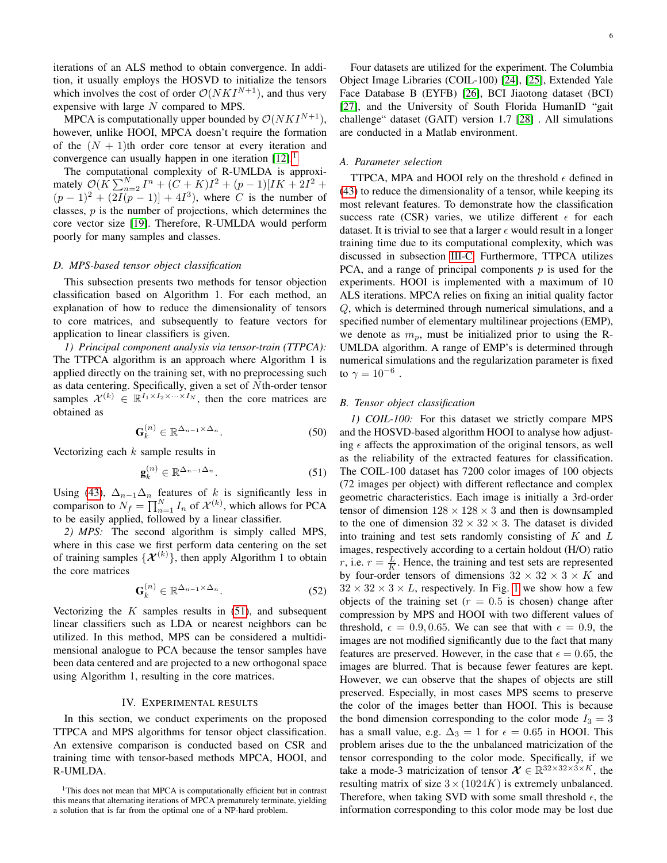iterations of an ALS method to obtain convergence. In addition, it usually employs the HOSVD to initialize the tensors which involves the cost of order  $\mathcal{O}(N K I^{N+1})$ , and thus very expensive with large  $N$  compared to MPS.

MPCA is computationally upper bounded by  $\mathcal{O}(N K I^{N+1}),$ however, unlike HOOI, MPCA doesn't require the formation of the  $(N + 1)$ th order core tensor at every iteration and convergence can usually happen in one iteration  $[12]$ .<sup>[1](#page-5-1)</sup>

The computational complexity of R-UMLDA is approximately  $\mathcal{O}(\hat{K} \sum_{n=2}^{N} I^n + (\hat{C} + \hat{K})I^2 + (p-1)[IK + 2I^2 +$  $(p-1)^2 + (2I(p-1)) + 4I^3$ , where C is the number of classes,  $p$  is the number of projections, which determines the core vector size [\[19\]](#page-10-5). Therefore, R-UMLDA would perform poorly for many samples and classes.

#### *D. MPS-based tensor object classification*

This subsection presents two methods for tensor objection classification based on Algorithm 1. For each method, an explanation of how to reduce the dimensionality of tensors to core matrices, and subsequently to feature vectors for application to linear classifiers is given.

*1) Principal component analysis via tensor-train (TTPCA):* The TTPCA algorithm is an approach where Algorithm 1 is applied directly on the training set, with no preprocessing such as data centering. Specifically, given a set of Nth-order tensor samples  $\mathcal{X}^{(k)} \in \mathbb{R}^{I_1 \times I_2 \times \cdots \times I_N}$ , then the core matrices are obtained as

$$
\mathbf{G}_k^{(n)} \in \mathbb{R}^{\Delta_{n-1} \times \Delta_n}.
$$
 (50)

Vectorizing each  $k$  sample results in

<span id="page-5-2"></span>
$$
\mathbf{g}_k^{(n)} \in \mathbb{R}^{\Delta_{n-1}\Delta_n}.
$$
 (51)

Using [\(43\)](#page-4-1),  $\Delta_{n-1}\Delta_n$  features of k is significantly less in comparison to  $N_f = \prod_{n=1}^{N} I_n$  of  $\mathcal{X}^{(k)}$ , which allows for PCA to be easily applied, followed by a linear classifier.

*2) MPS:* The second algorithm is simply called MPS, where in this case we first perform data centering on the set of training samples  $\{\mathcal{X}^{(k)}\}$ , then apply Algorithm 1 to obtain the core matrices

$$
\mathbf{G}_k^{(n)} \in \mathbb{R}^{\Delta_{n-1} \times \Delta_n}.
$$
 (52)

Vectorizing the  $K$  samples results in  $(51)$ , and subsequent linear classifiers such as LDA or nearest neighbors can be utilized. In this method, MPS can be considered a multidimensional analogue to PCA because the tensor samples have been data centered and are projected to a new orthogonal space using Algorithm 1, resulting in the core matrices.

### IV. EXPERIMENTAL RESULTS

<span id="page-5-0"></span>In this section, we conduct experiments on the proposed TTPCA and MPS algorithms for tensor object classification. An extensive comparison is conducted based on CSR and training time with tensor-based methods MPCA, HOOI, and R-UMLDA.

Four datasets are utilized for the experiment. The Columbia Object Image Libraries (COIL-100) [\[24\]](#page-10-10), [\[25\]](#page-10-11), Extended Yale Face Database B (EYFB) [\[26\]](#page-10-12), BCI Jiaotong dataset (BCI) [\[27\]](#page-10-13), and the University of South Florida HumanID "gait challenge" dataset (GAIT) version 1.7 [\[28\]](#page-10-14) . All simulations are conducted in a Matlab environment.

## *A. Parameter selection*

TTPCA, MPA and HOOI rely on the threshold  $\epsilon$  defined in [\(43\)](#page-4-1) to reduce the dimensionality of a tensor, while keeping its most relevant features. To demonstrate how the classification success rate (CSR) varies, we utilize different  $\epsilon$  for each dataset. It is trivial to see that a larger  $\epsilon$  would result in a longer training time due to its computational complexity, which was discussed in subsection [III-C.](#page-4-3) Furthermore, TTPCA utilizes PCA, and a range of principal components  $p$  is used for the experiments. HOOI is implemented with a maximum of 10 ALS iterations. MPCA relies on fixing an initial quality factor Q, which is determined through numerical simulations, and a specified number of elementary multilinear projections (EMP), we denote as  $m_p$ , must be initialized prior to using the R-UMLDA algorithm. A range of EMP's is determined through numerical simulations and the regularization parameter is fixed to  $\gamma=10^{-6}$  .

## *B. Tensor object classification*

*1) COIL-100:* For this dataset we strictly compare MPS and the HOSVD-based algorithm HOOI to analyse how adjusting  $\epsilon$  affects the approximation of the original tensors, as well as the reliability of the extracted features for classification. The COIL-100 dataset has 7200 color images of 100 objects (72 images per object) with different reflectance and complex geometric characteristics. Each image is initially a 3rd-order tensor of dimension  $128 \times 128 \times 3$  and then is downsampled to the one of dimension  $32 \times 32 \times 3$ . The dataset is divided into training and test sets randomly consisting of  $K$  and  $L$ images, respectively according to a certain holdout (H/O) ratio r, i.e.  $r = \frac{L}{K}$ . Hence, the training and test sets are represented by four-order tensors of dimensions  $32 \times 32 \times 3 \times K$  and  $32 \times 32 \times 3 \times L$ , respectively. In Fig. [1](#page-6-0) we show how a few objects of the training set ( $r = 0.5$  is chosen) change after compression by MPS and HOOI with two different values of threshold,  $\epsilon = 0.9, 0.65$ . We can see that with  $\epsilon = 0.9$ , the images are not modified significantly due to the fact that many features are preserved. However, in the case that  $\epsilon = 0.65$ , the images are blurred. That is because fewer features are kept. However, we can observe that the shapes of objects are still preserved. Especially, in most cases MPS seems to preserve the color of the images better than HOOI. This is because the bond dimension corresponding to the color mode  $I_3 = 3$ has a small value, e.g.  $\Delta_3 = 1$  for  $\epsilon = 0.65$  in HOOI. This problem arises due to the the unbalanced matricization of the tensor corresponding to the color mode. Specifically, if we take a mode-3 matricization of tensor  $\mathcal{X} \in \mathbb{R}^{32 \times 32 \times 3 \times K}$ , the resulting matrix of size  $3 \times (1024K)$  is extremely unbalanced. Therefore, when taking SVD with some small threshold  $\epsilon$ , the information corresponding to this color mode may be lost due

<span id="page-5-1"></span><sup>&</sup>lt;sup>1</sup>This does not mean that MPCA is computationally efficient but in contrast this means that alternating iterations of MPCA prematurely terminate, yielding a solution that is far from the optimal one of a NP-hard problem.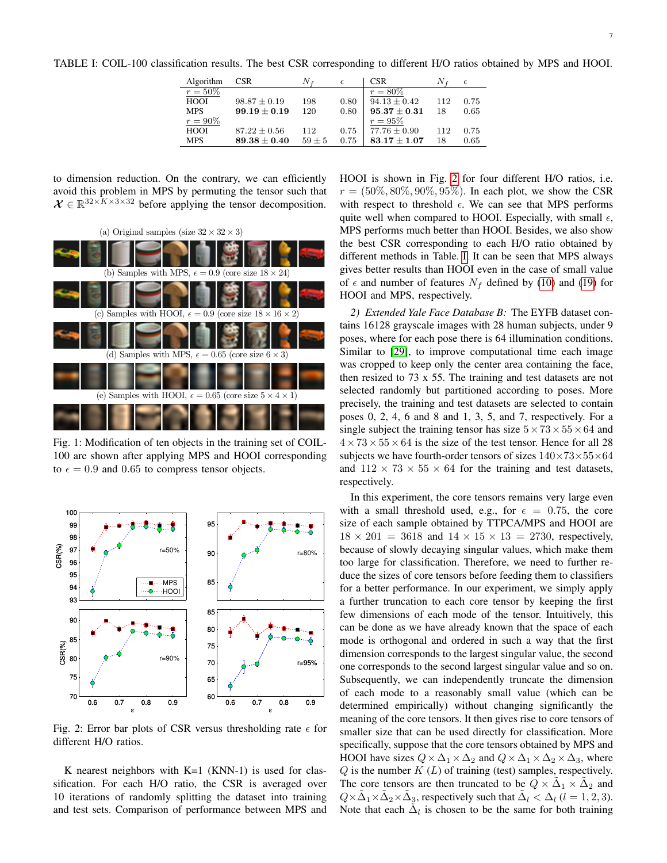<span id="page-6-2"></span>TABLE I: COIL-100 classification results. The best CSR corresponding to different H/O ratios obtained by MPS and HOOI.

| Algorithm   | <b>CSR</b>       |          | $\epsilon$ | <b>CSR</b>       |     |      |
|-------------|------------------|----------|------------|------------------|-----|------|
| $r = 50\%$  |                  |          |            | $r = 80\%$       |     |      |
| <b>HOOI</b> | $98.87 \pm 0.19$ | 198      | 0.80       | $94.13 + 0.42$   | 112 | 0.75 |
| <b>MPS</b>  | $99.19 + 0.19$   | 120      | 0.80       | $95.37 \pm 0.31$ | 18  | 0.65 |
| $r = 90\%$  |                  |          |            | $r = 95\%$       |     |      |
| HOOI        | $87.22 \pm 0.56$ | 112      | 0.75       | $77.76 + 0.90$   | 112 | 0.75 |
| <b>MPS</b>  | $89.38 \pm 0.40$ | $59 + 5$ | 0.75       | $83.17 \pm 1.07$ | 18  | 0.65 |
|             |                  |          |            |                  |     |      |

to dimension reduction. On the contrary, we can efficiently avoid this problem in MPS by permuting the tensor such that  $\mathcal{X} \in \mathbb{R}^{32 \times K \times 3 \times 32}$  before applying the tensor decomposition.

<span id="page-6-0"></span>

Fig. 1: Modification of ten objects in the training set of COIL-100 are shown after applying MPS and HOOI corresponding to  $\epsilon = 0.9$  and 0.65 to compress tensor objects.

<span id="page-6-1"></span>

Fig. 2: Error bar plots of CSR versus thresholding rate  $\epsilon$  for different H/O ratios.

K nearest neighbors with  $K=1$  (KNN-1) is used for classification. For each H/O ratio, the CSR is averaged over 10 iterations of randomly splitting the dataset into training and test sets. Comparison of performance between MPS and HOOI is shown in Fig. [2](#page-6-1) for four different H/O ratios, i.e.  $r = (50\%, 80\%, 90\%, 95\%)$ . In each plot, we show the CSR with respect to threshold  $\epsilon$ . We can see that MPS performs quite well when compared to HOOI. Especially, with small  $\epsilon$ , MPS performs much better than HOOI. Besides, we also show the best CSR corresponding to each H/O ratio obtained by different methods in Table. [I.](#page-6-2) It can be seen that MPS always gives better results than HOOI even in the case of small value of  $\epsilon$  and number of features  $N_f$  defined by [\(10\)](#page-2-11) and [\(19\)](#page-2-5) for HOOI and MPS, respectively.

*2) Extended Yale Face Database B:* The EYFB dataset contains 16128 grayscale images with 28 human subjects, under 9 poses, where for each pose there is 64 illumination conditions. Similar to [\[29\]](#page-10-15), to improve computational time each image was cropped to keep only the center area containing the face, then resized to 73 x 55. The training and test datasets are not selected randomly but partitioned according to poses. More precisely, the training and test datasets are selected to contain poses 0, 2, 4, 6 and 8 and 1, 3, 5, and 7, respectively. For a single subject the training tensor has size  $5 \times 73 \times 55 \times 64$  and  $4 \times 73 \times 55 \times 64$  is the size of the test tensor. Hence for all 28 subjects we have fourth-order tensors of sizes  $140\times73\times55\times64$ and  $112 \times 73 \times 55 \times 64$  for the training and test datasets, respectively.

In this experiment, the core tensors remains very large even with a small threshold used, e.g., for  $\epsilon = 0.75$ , the core size of each sample obtained by TTPCA/MPS and HOOI are  $18 \times 201 = 3618$  and  $14 \times 15 \times 13 = 2730$ , respectively, because of slowly decaying singular values, which make them too large for classification. Therefore, we need to further reduce the sizes of core tensors before feeding them to classifiers for a better performance. In our experiment, we simply apply a further truncation to each core tensor by keeping the first few dimensions of each mode of the tensor. Intuitively, this can be done as we have already known that the space of each mode is orthogonal and ordered in such a way that the first dimension corresponds to the largest singular value, the second one corresponds to the second largest singular value and so on. Subsequently, we can independently truncate the dimension of each mode to a reasonably small value (which can be determined empirically) without changing significantly the meaning of the core tensors. It then gives rise to core tensors of smaller size that can be used directly for classification. More specifically, suppose that the core tensors obtained by MPS and HOOI have sizes  $Q \times \Delta_1 \times \Delta_2$  and  $Q \times \Delta_1 \times \Delta_2 \times \Delta_3$ , where  $Q$  is the number  $K(L)$  of training (test) samples, respectively. The core tensors are then truncated to be  $Q \times \tilde{\Delta}_1 \times \tilde{\Delta}_2$  and  $Q \times \tilde{\Delta}_1 \times \tilde{\Delta}_2 \times \tilde{\Delta}_3$ , respectively such that  $\tilde{\Delta}_l < \Delta_l$  ( $l = 1, 2, 3$ ). Note that each  $\tilde{\Delta}_l$  is chosen to be the same for both training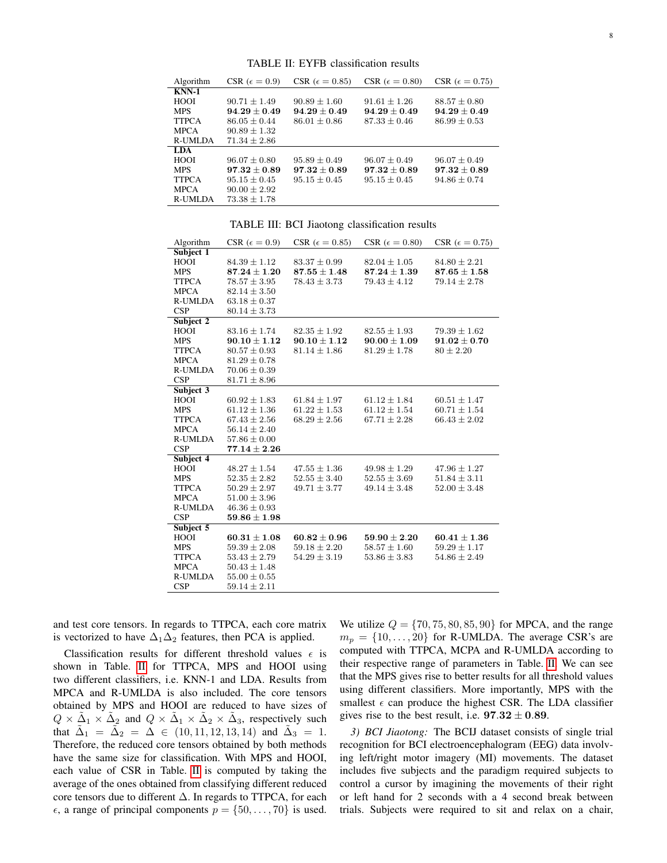<span id="page-7-0"></span>Algorithm CSR ( $\epsilon = 0.9$ ) CSR ( $\epsilon = 0.85$ ) CSR ( $\epsilon = 0.80$ ) CSR ( $\epsilon = 0.75$ ) KNN-1 HOOI  $90.71 \pm 1.49$   $90.89 \pm 1.60$   $91.61 \pm 1.26$   $88.57 \pm 0.80$ <br>MPS  $94.29 \pm 0.49$   $94.29 \pm 0.49$   $94.29 \pm 0.49$   $94.29 \pm 0.4$ MPS  $94.29 \pm 0.49$   $94.29 \pm 0.49$   $94.29 \pm 0.49$   $94.29 \pm 0.49$ <br>TTPCA  $86.05 \pm 0.44$   $86.01 \pm 0.86$   $87.33 \pm 0.46$   $86.99 \pm 0.53$ TTPCA  $86.05 \pm 0.44$ <br>MPCA  $90.89 \pm 1.32$ MPCA  $90.89 \pm 1.32$ <br>R-UMLDA  $71.34 \pm 2.86$  $71.34 \pm 2.86$ LDA  $\begin{array}{lllll} 96.07 \pm 0.80 & 95.89 \pm 0.49 & 96.07 \pm 0.49 & 96.07 \pm 0.49 \\ \bf{97.32} \pm 0.89 & \bf{97.32} \pm 0.89 & \bf{97.32} \pm 0.89 & \bf{97.32} \pm 0.89 \end{array}$ MPS 97.32  $\pm 0.89$ TTPCA  $95.15 \pm 0.45$   $95.15 \pm 0.45$   $95.15 \pm 0.45$   $94.86 \pm 0.74$ <br>MPCA  $90.00 \pm 2.92$  $\begin{array}{ll} \text{MPCA} & 90.00 \pm 2.92 \\ \text{R-UMLDA} & 73.38 \pm 1.78 \end{array}$  $73.38 \pm 1.78$ 

TABLE II: EYFB classification results

TABLE III: BCI Jiaotong classification results

<span id="page-7-1"></span>

| Algorithm      | CSR ( $\epsilon = 0.9$ ) | CSR ( $\epsilon = 0.85$ ) | CSR ( $\epsilon = 0.80$ ) | CSR ( $\epsilon = 0.75$ ) |
|----------------|--------------------------|---------------------------|---------------------------|---------------------------|
| Subject 1      |                          |                           |                           |                           |
| HOOI           | $84.39 \pm 1.12$         | $83.37 \pm 0.99$          | $82.04 \pm 1.05$          | $84.80 \pm 2.21$          |
| <b>MPS</b>     | $87.24 \pm 1.20$         | $87.55 \pm 1.48$          | $87.24 \pm 1.39$          | $87.65 \pm 1.58$          |
| <b>TTPCA</b>   | $78.57 \pm 3.95$         | $78.43 \pm 3.73$          | $79.43 \pm 4.12$          | $79.14 \pm 2.78$          |
| <b>MPCA</b>    | $82.14 \pm 3.50$         |                           |                           |                           |
| <b>R-UMLDA</b> | $63.18 \pm 0.37$         |                           |                           |                           |
| CSP            | $80.14 \pm 3.73$         |                           |                           |                           |
| Subject 2      |                          |                           |                           |                           |
| HOOI           | $83.16 \pm 1.74$         | $82.35 \pm 1.92$          | $82.55 \pm 1.93$          | $79.39 \pm 1.62$          |
| <b>MPS</b>     | $90.10 \pm 1.12$         | $90.10 \pm 1.12$          | $90.00 \pm 1.09$          | $91.02 \pm 0.70$          |
| <b>TTPCA</b>   | $80.57 \pm 0.93$         | $81.14 \pm 1.86$          | $81.29 \pm 1.78$          | $80 \pm 2.20$             |
| <b>MPCA</b>    | $81.29 \pm 0.78$         |                           |                           |                           |
| <b>R-UMLDA</b> | $70.06 \pm 0.39$         |                           |                           |                           |
| CSP            | $81.71 \pm 8.96$         |                           |                           |                           |
| Subject 3      |                          |                           |                           |                           |
| HOOI           | $60.92 \pm 1.83$         | $61.84 \pm 1.97$          | $61.12 \pm 1.84$          | $60.51 \pm 1.47$          |
| <b>MPS</b>     | $61.12 \pm 1.36$         | $61.22 \pm 1.53$          | $61.12 \pm 1.54$          | $60.71 \pm 1.54$          |
| <b>TTPCA</b>   | $67.43 \pm 2.56$         | $68.29 \pm 2.56$          | $67.71 \pm 2.28$          | $66.43 \pm 2.02$          |
| <b>MPCA</b>    | $56.14 \pm 2.40$         |                           |                           |                           |
| <b>R-UMLDA</b> | $57.86 \pm 0.00$         |                           |                           |                           |
| <b>CSP</b>     | $77.14 \pm 2.26$         |                           |                           |                           |
| Subject 4      |                          |                           |                           |                           |
| HOOI           | $48.27 \pm 1.54$         | $47.55 \pm 1.36$          | $49.98 \pm 1.29$          | $47.96 \pm 1.27$          |
| <b>MPS</b>     | $52.35 \pm 2.82$         | $52.55 \pm 3.40$          | $52.55 \pm 3.69$          | $51.84 \pm 3.11$          |
| <b>TTPCA</b>   | $50.29 \pm 2.97$         | $49.71 \pm 3.77$          | $49.14 \pm 3.48$          | $52.00 \pm 3.48$          |
| <b>MPCA</b>    | $51.00 \pm 3.96$         |                           |                           |                           |
| <b>R-UMLDA</b> | $46.36 \pm 0.93$         |                           |                           |                           |
| CSP            | $59.86 \pm 1.98$         |                           |                           |                           |
| Subject 5      |                          |                           |                           |                           |
| HOOI           | $60.31 \pm 1.08$         | $60.82 \pm 0.96$          | $59.90 \pm 2.20$          | $60.41 \pm 1.36$          |
| <b>MPS</b>     | $59.39 \pm 2.08$         | $59.18 \pm 2.20$          | $58.57 \pm 1.60$          | $59.29 \pm 1.17$          |
| <b>TTPCA</b>   | $53.43 \pm 2.79$         | $54.29 \pm 3.19$          | $53.86 \pm 3.83$          | $54.86 \pm 2.49$          |
| <b>MPCA</b>    | $50.43 \pm 1.48$         |                           |                           |                           |
| <b>R-UMLDA</b> | $55.00 \pm 0.55$         |                           |                           |                           |
| CSP            | $59.14 \pm 2.11$         |                           |                           |                           |

and test core tensors. In regards to TTPCA, each core matrix is vectorized to have  $\Delta_1\Delta_2$  features, then PCA is applied.

Classification results for different threshold values  $\epsilon$  is shown in Table. [II](#page-7-0) for TTPCA, MPS and HOOI using two different classifiers, i.e. KNN-1 and LDA. Results from MPCA and R-UMLDA is also included. The core tensors obtained by MPS and HOOI are reduced to have sizes of  $Q \times \tilde{\Delta}_1 \times \tilde{\Delta}_2$  and  $Q \times \tilde{\Delta}_1 \times \tilde{\Delta}_2 \times \tilde{\Delta}_3$ , respectively such that  $\tilde{\Delta}_1 = \tilde{\Delta}_2 = \tilde{\Delta} \in (10, 11, 12, 13, 14)$  and  $\tilde{\Delta}_3 = 1$ . Therefore, the reduced core tensors obtained by both methods have the same size for classification. With MPS and HOOI, each value of CSR in Table. [II](#page-7-0) is computed by taking the average of the ones obtained from classifying different reduced core tensors due to different ∆. In regards to TTPCA, for each  $\epsilon$ , a range of principal components  $p = \{50, \ldots, 70\}$  is used.

We utilize  $Q = \{70, 75, 80, 85, 90\}$  for MPCA, and the range  $m_p = \{10, \ldots, 20\}$  for R-UMLDA. The average CSR's are computed with TTPCA, MCPA and R-UMLDA according to their respective range of parameters in Table. [II.](#page-7-0) We can see that the MPS gives rise to better results for all threshold values using different classifiers. More importantly, MPS with the smallest  $\epsilon$  can produce the highest CSR. The LDA classifier gives rise to the best result, i.e.  $97.32 \pm 0.89$ .

*3) BCI Jiaotong:* The BCIJ dataset consists of single trial recognition for BCI electroencephalogram (EEG) data involving left/right motor imagery (MI) movements. The dataset includes five subjects and the paradigm required subjects to control a cursor by imagining the movements of their right or left hand for 2 seconds with a 4 second break between trials. Subjects were required to sit and relax on a chair,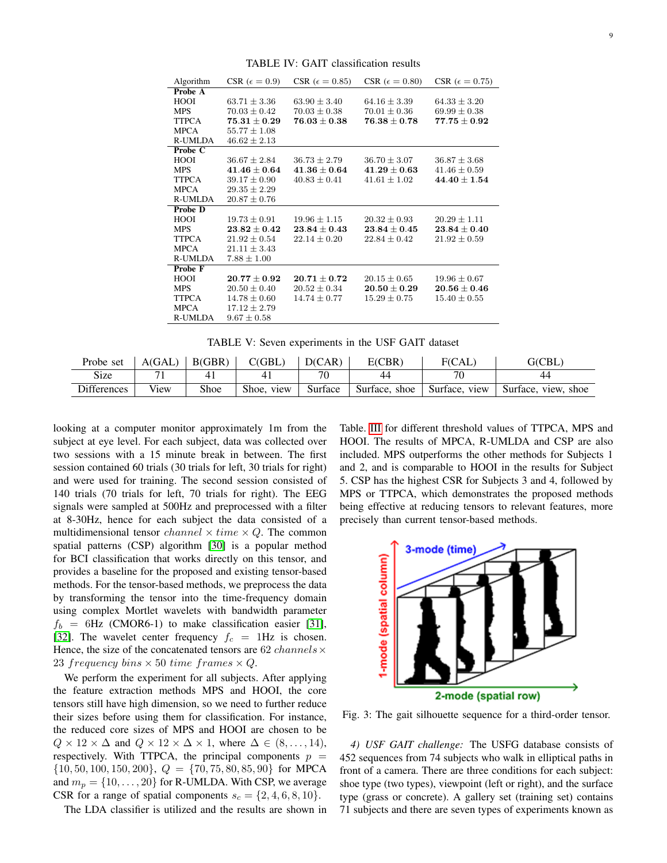<span id="page-8-2"></span>

| Algorithm      | CSR ( $\epsilon = 0.9$ ) | CSR ( $\epsilon = 0.85$ )          | CSR ( $\epsilon = 0.80$ ) | CSR ( $\epsilon = 0.75$ ) |
|----------------|--------------------------|------------------------------------|---------------------------|---------------------------|
| Probe A        |                          |                                    |                           |                           |
| HOOI           | $63.71 + 3.36$           | $63.90 \pm 3.40$                   | $64.16 \pm 3.39$          | $64.33 + 3.20$            |
| <b>MPS</b>     | $70.03 \pm 0.42$         | $70.03 \pm 0.38$                   | $70.01 \pm 0.36$          | $69.99 \pm 0.38$          |
| <b>TTPCA</b>   | $75.31 \pm 0.29$         | $76.03 \pm 0.38$                   | $76.38 \pm 0.78$          | $77.75 \pm 0.92$          |
| <b>MPCA</b>    | $55.77 \pm 1.08$         |                                    |                           |                           |
| R-UMLDA        | $46.62 \pm 2.13$         |                                    |                           |                           |
| Probe C        |                          |                                    |                           |                           |
| HOOI           | $36.67 \pm 2.84$         | $36.73 \pm 2.79$                   | $36.70 \pm 3.07$          | $36.87 \pm 3.68$          |
| <b>MPS</b>     | $41.46 \pm 0.64$         | $\textbf{41.36} \pm \textbf{0.64}$ | $41.29\pm0.63$            | $41.46 \pm 0.59$          |
| <b>TTPCA</b>   | $39.17 \pm 0.90$         | $40.83 \pm 0.41$                   | $41.61 \pm 1.02$          | $44.40 \pm 1.54$          |
| <b>MPCA</b>    | $29.35 \pm 2.29$         |                                    |                           |                           |
| R-UMLDA        | $20.87 \pm 0.76$         |                                    |                           |                           |
| <b>Probe D</b> |                          |                                    |                           |                           |
| HOOI           | $19.73 \pm 0.91$         | $19.96 \pm 1.15$                   | $20.32 + 0.93$            | $20.29 \pm 1.11$          |
| <b>MPS</b>     | $23.82\pm0.42$           | $23.84 \pm 0.43$                   | $23.84 \pm 0.45$          | $23.84 \pm 0.40$          |
| <b>TTPCA</b>   | $21.92 \pm 0.54$         | $22.14 \pm 0.20$                   | $22.84 \pm 0.42$          | $21.92 \pm 0.59$          |
| <b>MPCA</b>    | $21.11 \pm 3.43$         |                                    |                           |                           |
| R-UMLDA        | $7.88 \pm 1.00$          |                                    |                           |                           |
| Probe F        |                          |                                    |                           |                           |
| HOOI           | $20.77\pm0.92$           | $20.71 \pm 0.72$                   | $20.15 \pm 0.65$          | $19.96 \pm 0.67$          |
| <b>MPS</b>     | $20.50 \pm 0.40$         | $20.52 \pm 0.34$                   | $20.50 \pm 0.29$          | $20.56 \pm 0.46$          |
| <b>TTPCA</b>   | $14.78 \pm 0.60$         | $14.74 \pm 0.77$                   | $15.29 \pm 0.75$          | $15.40 \pm 0.55$          |
| <b>MPCA</b>    | $17.12 \pm 2.79$         |                                    |                           |                           |
| R-UMLDA        | $9.67 \pm 0.58$          |                                    |                           |                           |

TABLE IV: GAIT classification results

TABLE V: Seven experiments in the USF GAIT dataset

<span id="page-8-0"></span>

| Probe set          | A(GAL) | B(GBR) | C(GBL)        | D(CAR)  | E(CBR)        | F(CAL)           | G(CBL)                 |
|--------------------|--------|--------|---------------|---------|---------------|------------------|------------------------|
| Size               |        |        |               | 70      | 44            | 70               | 44                     |
| <b>Differences</b> | View   | Shoe   | Shoe.<br>view | Surface | Surface, shoe | Surface,<br>view | Surface.<br>view, shoe |

looking at a computer monitor approximately 1m from the subject at eye level. For each subject, data was collected over two sessions with a 15 minute break in between. The first session contained 60 trials (30 trials for left, 30 trials for right) and were used for training. The second session consisted of 140 trials (70 trials for left, 70 trials for right). The EEG signals were sampled at 500Hz and preprocessed with a filter at 8-30Hz, hence for each subject the data consisted of a multidimensional tensor *channel*  $\times$  time  $\times$  Q. The common spatial patterns (CSP) algorithm [\[30\]](#page-10-16) is a popular method for BCI classification that works directly on this tensor, and provides a baseline for the proposed and existing tensor-based methods. For the tensor-based methods, we preprocess the data by transforming the tensor into the time-frequency domain using complex Mortlet wavelets with bandwidth parameter  $f_b = 6$ Hz (CMOR6-1) to make classification easier [\[31\]](#page-10-17), [\[32\]](#page-10-18). The wavelet center frequency  $f_c = 1$ Hz is chosen. Hence, the size of the concatenated tensors are 62 *channels* $\times$ 23 frequency bins  $\times$  50 time frames  $\times Q$ .

We perform the experiment for all subjects. After applying the feature extraction methods MPS and HOOI, the core tensors still have high dimension, so we need to further reduce their sizes before using them for classification. For instance, the reduced core sizes of MPS and HOOI are chosen to be  $Q \times 12 \times \Delta$  and  $Q \times 12 \times \Delta \times 1$ , where  $\Delta \in (8, \ldots, 14)$ , respectively. With TTPCA, the principal components  $p =$  $\{10, 50, 100, 150, 200\}, Q = \{70, 75, 80, 85, 90\}$  for MPCA and  $m_p = \{10, \ldots, 20\}$  for R-UMLDA. With CSP, we average CSR for a range of spatial components  $s_c = \{2, 4, 6, 8, 10\}.$ 

The LDA classifier is utilized and the results are shown in

Table. [III](#page-7-1) for different threshold values of TTPCA, MPS and HOOI. The results of MPCA, R-UMLDA and CSP are also included. MPS outperforms the other methods for Subjects 1 and 2, and is comparable to HOOI in the results for Subject 5. CSP has the highest CSR for Subjects 3 and 4, followed by MPS or TTPCA, which demonstrates the proposed methods being effective at reducing tensors to relevant features, more precisely than current tensor-based methods.

<span id="page-8-1"></span>

Fig. 3: The gait silhouette sequence for a third-order tensor.

*4) USF GAIT challenge:* The USFG database consists of 452 sequences from 74 subjects who walk in elliptical paths in front of a camera. There are three conditions for each subject: shoe type (two types), viewpoint (left or right), and the surface type (grass or concrete). A gallery set (training set) contains 71 subjects and there are seven types of experiments known as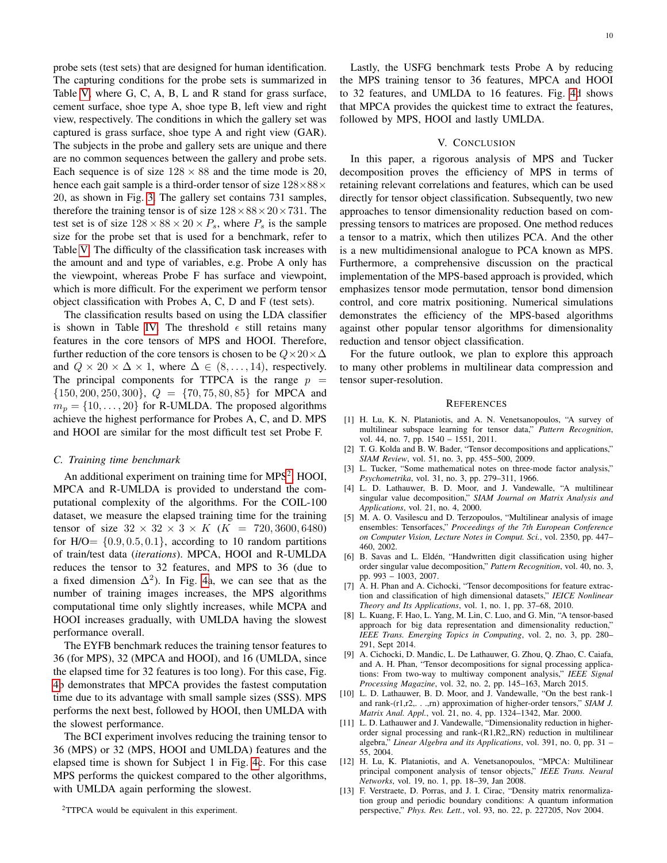probe sets (test sets) that are designed for human identification. The capturing conditions for the probe sets is summarized in Table [V,](#page-8-0) where G, C, A, B, L and R stand for grass surface, cement surface, shoe type A, shoe type B, left view and right view, respectively. The conditions in which the gallery set was captured is grass surface, shoe type A and right view (GAR). The subjects in the probe and gallery sets are unique and there are no common sequences between the gallery and probe sets. Each sequence is of size  $128 \times 88$  and the time mode is 20, hence each gait sample is a third-order tensor of size  $128\times88\times$ 20, as shown in Fig. [3.](#page-8-1) The gallery set contains 731 samples, therefore the training tensor is of size  $128 \times 88 \times 20 \times 731$ . The test set is of size  $128 \times 88 \times 20 \times P_s$ , where  $P_s$  is the sample size for the probe set that is used for a benchmark, refer to Table [V.](#page-8-0) The difficulty of the classification task increases with the amount and and type of variables, e.g. Probe A only has the viewpoint, whereas Probe F has surface and viewpoint, which is more difficult. For the experiment we perform tensor object classification with Probes A, C, D and F (test sets).

The classification results based on using the LDA classifier is shown in Table [IV.](#page-8-2) The threshold  $\epsilon$  still retains many features in the core tensors of MPS and HOOI. Therefore, further reduction of the core tensors is chosen to be  $Q \times 20 \times \Delta$ and  $Q \times 20 \times \Delta \times 1$ , where  $\Delta \in (8, \ldots, 14)$ , respectively. The principal components for TTPCA is the range  $p =$  $\{150, 200, 250, 300\}, Q = \{70, 75, 80, 85\}$  for MPCA and  $m_p = \{10, \ldots, 20\}$  for R-UMLDA. The proposed algorithms achieve the highest performance for Probes A, C, and D. MPS and HOOI are similar for the most difficult test set Probe F.

## *C. Training time benchmark*

An additional experiment on training time for MPS<sup>[2](#page-9-14)</sup>, HOOI, MPCA and R-UMLDA is provided to understand the computational complexity of the algorithms. For the COIL-100 dataset, we measure the elapsed training time for the training tensor of size  $32 \times 32 \times 3 \times K$  ( $K = 720, 3600, 6480$ ) for  $H/O = \{0.9, 0.5, 0.1\}$ , according to 10 random partitions of train/test data (*iterations*). MPCA, HOOI and R-UMLDA reduces the tensor to 32 features, and MPS to 36 (due to a fixed dimension  $\Delta^2$ ). In Fig. [4a](#page-10-19), we can see that as the number of training images increases, the MPS algorithms computational time only slightly increases, while MCPA and HOOI increases gradually, with UMLDA having the slowest performance overall.

The EYFB benchmark reduces the training tensor features to 36 (for MPS), 32 (MPCA and HOOI), and 16 (UMLDA, since the elapsed time for 32 features is too long). For this case, Fig. [4b](#page-10-19) demonstrates that MPCA provides the fastest computation time due to its advantage with small sample sizes (SSS). MPS performs the next best, followed by HOOI, then UMLDA with the slowest performance.

The BCI experiment involves reducing the training tensor to 36 (MPS) or 32 (MPS, HOOI and UMLDA) features and the elapsed time is shown for Subject 1 in Fig. [4c](#page-10-19). For this case MPS performs the quickest compared to the other algorithms, with UMLDA again performing the slowest.

<span id="page-9-14"></span><sup>2</sup>TTPCA would be equivalent in this experiment.

Lastly, the USFG benchmark tests Probe A by reducing the MPS training tensor to 36 features, MPCA and HOOI to 32 features, and UMLDA to 16 features. Fig. [4d](#page-10-19) shows that MPCA provides the quickest time to extract the features, followed by MPS, HOOI and lastly UMLDA.

#### V. CONCLUSION

<span id="page-9-13"></span>In this paper, a rigorous analysis of MPS and Tucker decomposition proves the efficiency of MPS in terms of retaining relevant correlations and features, which can be used directly for tensor object classification. Subsequently, two new approaches to tensor dimensionality reduction based on compressing tensors to matrices are proposed. One method reduces a tensor to a matrix, which then utilizes PCA. And the other is a new multidimensional analogue to PCA known as MPS. Furthermore, a comprehensive discussion on the practical implementation of the MPS-based approach is provided, which emphasizes tensor mode permutation, tensor bond dimension control, and core matrix positioning. Numerical simulations demonstrates the efficiency of the MPS-based algorithms against other popular tensor algorithms for dimensionality reduction and tensor object classification.

For the future outlook, we plan to explore this approach to many other problems in multilinear data compression and tensor super-resolution.

#### **REFERENCES**

- <span id="page-9-0"></span>[1] H. Lu, K. N. Plataniotis, and A. N. Venetsanopoulos, "A survey of multilinear subspace learning for tensor data," *Pattern Recognition*, vol. 44, no. 7, pp. 1540 – 1551, 2011.
- <span id="page-9-1"></span>[2] T. G. Kolda and B. W. Bader, "Tensor decompositions and applications," *SIAM Review*, vol. 51, no. 3, pp. 455–500, 2009.
- <span id="page-9-2"></span>[3] L. Tucker, "Some mathematical notes on three-mode factor analysis," *Psychometrika*, vol. 31, no. 3, pp. 279–311, 1966.
- <span id="page-9-3"></span>[4] L. D. Lathauwer, B. D. Moor, and J. Vandewalle, "A multilinear singular value decomposition," *SIAM Journal on Matrix Analysis and Applications*, vol. 21, no. 4, 2000.
- <span id="page-9-4"></span>[5] M. A. O. Vasilescu and D. Terzopoulos, "Multilinear analysis of image ensembles: Tensorfaces," *Proceedings of the 7th European Conference on Computer Vision, Lecture Notes in Comput. Sci.*, vol. 2350, pp. 447– 460, 2002.
- <span id="page-9-5"></span>[6] B. Savas and L. Eldén, "Handwritten digit classification using higher order singular value decomposition," *Pattern Recognition*, vol. 40, no. 3, pp. 993 – 1003, 2007.
- <span id="page-9-6"></span>[7] A. H. Phan and A. Cichocki, "Tensor decompositions for feature extraction and classification of high dimensional datasets," *IEICE Nonlinear Theory and Its Applications*, vol. 1, no. 1, pp. 37–68, 2010.
- <span id="page-9-7"></span>[8] L. Kuang, F. Hao, L. Yang, M. Lin, C. Luo, and G. Min, "A tensor-based approach for big data representation and dimensionality reduction," *IEEE Trans. Emerging Topics in Computing*, vol. 2, no. 3, pp. 280– 291, Sept 2014.
- <span id="page-9-8"></span>[9] A. Cichocki, D. Mandic, L. De Lathauwer, G. Zhou, Q. Zhao, C. Caiafa, and A. H. Phan, "Tensor decompositions for signal processing applications: From two-way to multiway component analysis," *IEEE Signal Processing Magazine*, vol. 32, no. 2, pp. 145–163, March 2015.
- <span id="page-9-9"></span>[10] L. D. Lathauwer, B. D. Moor, and J. Vandewalle, "On the best rank-1 and rank-(r1,r2,. . .,rn) approximation of higher-order tensors," *SIAM J. Matrix Anal. Appl.*, vol. 21, no. 4, pp. 1324–1342, Mar. 2000.
- <span id="page-9-10"></span>[11] L. D. Lathauwer and J. Vandewalle, "Dimensionality reduction in higherorder signal processing and rank-(R1,R2,,RN) reduction in multilinear algebra," *Linear Algebra and its Applications*, vol. 391, no. 0, pp. 31 – 55, 2004.
- <span id="page-9-11"></span>[12] H. Lu, K. Plataniotis, and A. Venetsanopoulos, "MPCA: Multilinear principal component analysis of tensor objects," *IEEE Trans. Neural Networks*, vol. 19, no. 1, pp. 18–39, Jan 2008.
- <span id="page-9-12"></span>[13] F. Verstraete, D. Porras, and J. I. Cirac, "Density matrix renormalization group and periodic boundary conditions: A quantum information perspective," *Phys. Rev. Lett.*, vol. 93, no. 22, p. 227205, Nov 2004.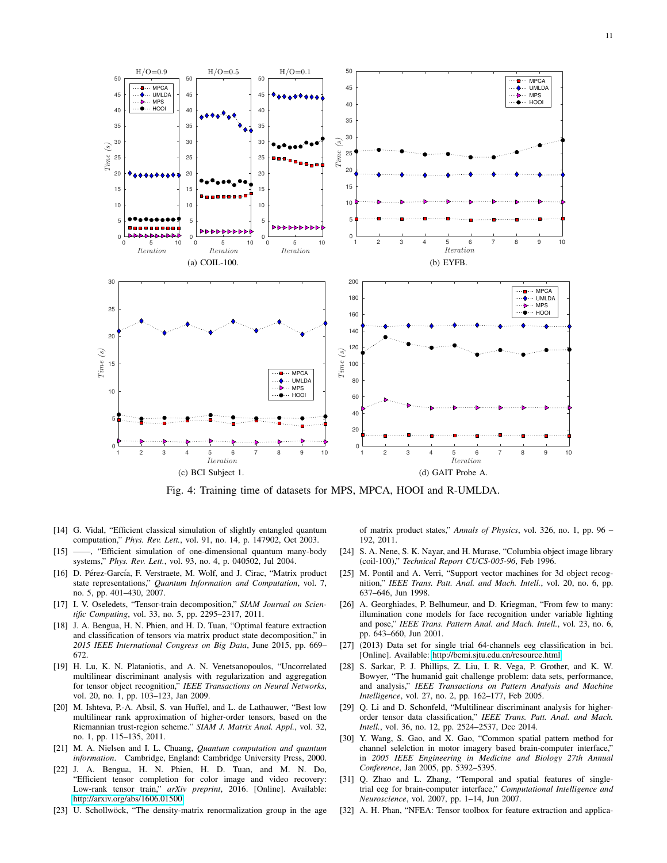<span id="page-10-19"></span>

Fig. 4: Training time of datasets for MPS, MPCA, HOOI and R-UMLDA.

- <span id="page-10-0"></span>[14] G. Vidal, "Efficient classical simulation of slightly entangled quantum computation," *Phys. Rev. Lett.*, vol. 91, no. 14, p. 147902, Oct 2003.
- <span id="page-10-1"></span>[15] -, "Efficient simulation of one-dimensional quantum many-body systems," *Phys. Rev. Lett.*, vol. 93, no. 4, p. 040502, Jul 2004.
- <span id="page-10-2"></span>[16] D. Pérez-García, F. Verstraete, M. Wolf, and J. Cirac, "Matrix product state representations," *Quantum Information and Computation*, vol. 7, no. 5, pp. 401–430, 2007.
- <span id="page-10-3"></span>[17] I. V. Oseledets, "Tensor-train decomposition," *SIAM Journal on Scientific Computing*, vol. 33, no. 5, pp. 2295–2317, 2011.
- <span id="page-10-4"></span>[18] J. A. Bengua, H. N. Phien, and H. D. Tuan, "Optimal feature extraction and classification of tensors via matrix product state decomposition," in *2015 IEEE International Congress on Big Data*, June 2015, pp. 669– 672.
- <span id="page-10-5"></span>[19] H. Lu, K. N. Plataniotis, and A. N. Venetsanopoulos, "Uncorrelated multilinear discriminant analysis with regularization and aggregation for tensor object recognition," *IEEE Transactions on Neural Networks*, vol. 20, no. 1, pp. 103–123, Jan 2009.
- <span id="page-10-6"></span>[20] M. Ishteva, P.-A. Absil, S. van Huffel, and L. de Lathauwer, "Best low multilinear rank approximation of higher-order tensors, based on the Riemannian trust-region scheme." *SIAM J. Matrix Anal. Appl.*, vol. 32, no. 1, pp. 115–135, 2011.
- <span id="page-10-7"></span>[21] M. A. Nielsen and I. L. Chuang, *Quantum computation and quantum information*. Cambridge, England: Cambridge University Press, 2000.
- <span id="page-10-8"></span>[22] J. A. Bengua, H. N. Phien, H. D. Tuan, and M. N. Do, "Efficient tensor completion for color image and video recovery: Low-rank tensor train," *arXiv preprint*, 2016. [Online]. Available: <http://arxiv.org/abs/1606.01500>
- <span id="page-10-9"></span>[23] U. Schollwöck, "The density-matrix renormalization group in the age

of matrix product states," *Annals of Physics*, vol. 326, no. 1, pp. 96 – 192, 2011.

- <span id="page-10-10"></span>[24] S. A. Nene, S. K. Nayar, and H. Murase, "Columbia object image library (coil-100)," *Technical Report CUCS-005-96*, Feb 1996.
- <span id="page-10-11"></span>M. Pontil and A. Verri, "Support vector machines for 3d object recognition," *IEEE Trans. Patt. Anal. and Mach. Intell.*, vol. 20, no. 6, pp. 637–646, Jun 1998.
- <span id="page-10-12"></span>[26] A. Georghiades, P. Belhumeur, and D. Kriegman, "From few to many: illumination cone models for face recognition under variable lighting and pose," *IEEE Trans. Pattern Anal. and Mach. Intell.*, vol. 23, no. 6, pp. 643–660, Jun 2001.
- <span id="page-10-13"></span>[27] (2013) Data set for single trial 64-channels eeg classification in bci. [Online]. Available:<http://bcmi.sjtu.edu.cn/resource.html>
- <span id="page-10-14"></span>[28] S. Sarkar, P. J. Phillips, Z. Liu, I. R. Vega, P. Grother, and K. W. Bowyer, "The humanid gait challenge problem: data sets, performance, and analysis," *IEEE Transactions on Pattern Analysis and Machine Intelligence*, vol. 27, no. 2, pp. 162–177, Feb 2005.
- <span id="page-10-15"></span>[29] Q. Li and D. Schonfeld, "Multilinear discriminant analysis for higherorder tensor data classification," *IEEE Trans. Patt. Anal. and Mach. Intell.*, vol. 36, no. 12, pp. 2524–2537, Dec 2014.
- <span id="page-10-16"></span>[30] Y. Wang, S. Gao, and X. Gao, "Common spatial pattern method for channel selelction in motor imagery based brain-computer interface," in *2005 IEEE Engineering in Medicine and Biology 27th Annual Conference*, Jan 2005, pp. 5392–5395.
- <span id="page-10-17"></span>[31] Q. Zhao and L. Zhang, "Temporal and spatial features of singletrial eeg for brain-computer interface," *Computational Intelligence and Neuroscience*, vol. 2007, pp. 1–14, Jun 2007.
- <span id="page-10-18"></span>[32] A. H. Phan, "NFEA: Tensor toolbox for feature extraction and applica-